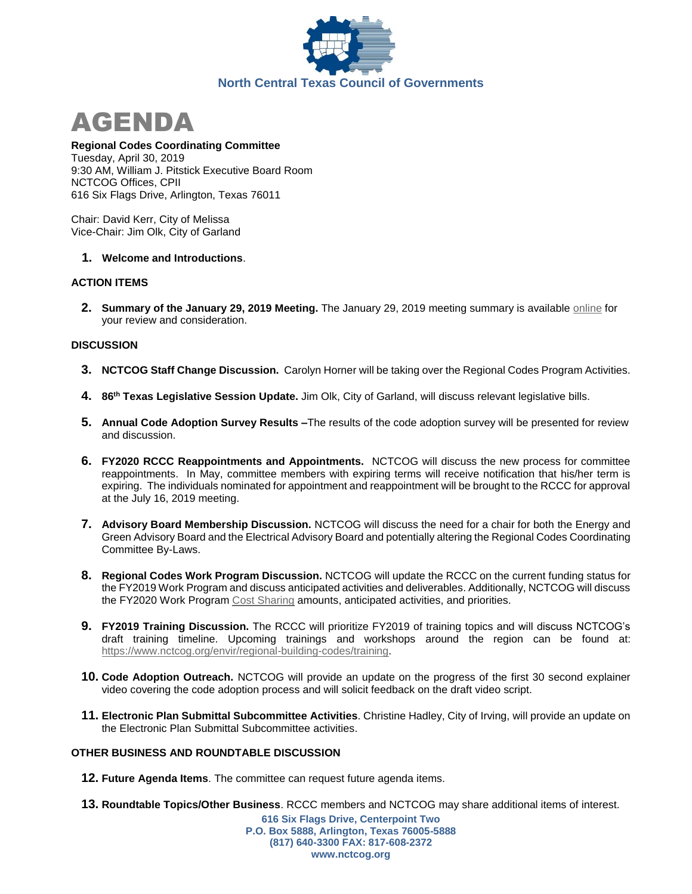



# **Regional Codes Coordinating Committee**

Tuesday, April 30, 2019 9:30 AM, William J. Pitstick Executive Board Room NCTCOG Offices, CPII 616 Six Flags Drive, Arlington, Texas 76011

Chair: David Kerr, City of Melissa Vice-Chair: Jim Olk, City of Garland

#### **1. Welcome and Introductions**.

## **ACTION ITEMS**

**2. Summary of the January 29, 2019 Meeting.** The January 29, 2019 meeting summary is available [online](https://www.nctcog.org/nctcg/media/Environment-and-Development/Committee%20Documents/RCCC/FY2019/RCCC_Summary_10_04_2018.pdf?ext=.pdf) for your review and consideration.

## **DISCUSSION**

- **3. NCTCOG Staff Change Discussion.** Carolyn Horner will be taking over the Regional Codes Program Activities.
- **4. 86th Texas Legislative Session Update.** Jim Olk, City of Garland, will discuss relevant legislative bills.
- **5. Annual Code Adoption Survey Results –**The results of the code adoption survey will be presented for review and discussion.
- **6. FY2020 RCCC Reappointments and Appointments.** NCTCOG will discuss the new process for committee reappointments. In May, committee members with expiring terms will receive notification that his/her term is expiring. The individuals nominated for appointment and reappointment will be brought to the RCCC for approval at the July 16, 2019 meeting.
- **7. Advisory Board Membership Discussion.** NCTCOG will discuss the need for a chair for both the Energy and Green Advisory Board and the Electrical Advisory Board and potentially altering the Regional Codes Coordinating Committee By-Laws.
- **8. Regional Codes Work Program Discussion.** NCTCOG will update the RCCC on the current funding status for the FY2019 Work Program and discuss anticipated activities and deliverables. Additionally, NCTCOG will discuss the FY2020 Work Progra[m Cost Sharing](https://www.nctcog.org/envir/regional-building-codes/cost-share) amounts, anticipated activities, and priorities.
- **9. FY2019 Training Discussion.** The RCCC will prioritize FY2019 of training topics and will discuss NCTCOG's draft training timeline. Upcoming trainings and workshops around the region can be found at: [https://www.nctcog.org/envir/regional-building-codes/training.](https://www.nctcog.org/envir/regional-building-codes/training)
- **10. Code Adoption Outreach.** NCTCOG will provide an update on the progress of the first 30 second explainer video covering the code adoption process and will solicit feedback on the draft video script.
- **11. Electronic Plan Submittal Subcommittee Activities**. Christine Hadley, City of Irving, will provide an update on the Electronic Plan Submittal Subcommittee activities.

# **OTHER BUSINESS AND ROUNDTABLE DISCUSSION**

- **12. Future Agenda Items**. The committee can request future agenda items.
- **13. Roundtable Topics/Other Business**. RCCC members and NCTCOG may share additional items of interest.

**616 Six Flags Drive, Centerpoint Two P.O. Box 5888, Arlington, Texas 76005-5888 (817) 640-3300 FAX: 817-608-2372 www.nctcog.org**